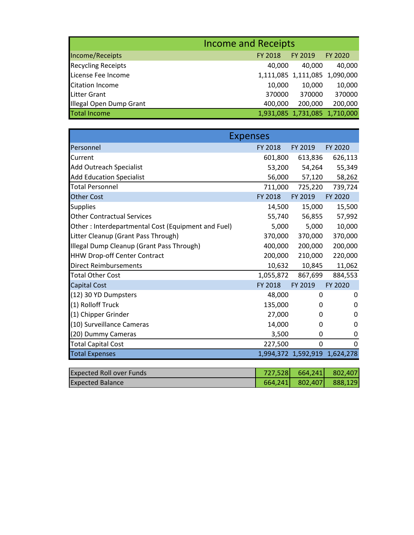|                           | <b>Income and Receipts</b> |         |                               |
|---------------------------|----------------------------|---------|-------------------------------|
| Income/Receipts           | FY 2018                    | FY 2019 | <b>FY 2020</b>                |
| <b>Recycling Receipts</b> | 40,000                     | 40.000  | 40,000                        |
| License Fee Income        |                            |         | 1,111,085 1,111,085 1,090,000 |
| <b>Citation Income</b>    | 10,000                     | 10,000  | 10,000                        |
| <b>Litter Grant</b>       | 370000                     | 370000  | 370000                        |
| Illegal Open Dump Grant   | 400,000                    | 200,000 | 200,000                       |
| <b>Total Income</b>       |                            |         | 1,931,085 1,731,085 1,710,000 |

| <b>Expenses</b>                                    |           |             |                               |
|----------------------------------------------------|-----------|-------------|-------------------------------|
| Personnel                                          | FY 2018   | FY 2019     | FY 2020                       |
| Current                                            | 601,800   | 613,836     | 626,113                       |
| <b>Add Outreach Specialist</b>                     | 53,200    | 54,264      | 55,349                        |
| <b>Add Education Specialist</b>                    | 56,000    | 57,120      | 58,262                        |
| <b>Total Personnel</b>                             | 711,000   | 725,220     | 739,724                       |
| <b>Other Cost</b>                                  | FY 2018   | FY 2019     | FY 2020                       |
| <b>Supplies</b>                                    | 14,500    | 15,000      | 15,500                        |
| <b>Other Contractual Services</b>                  | 55,740    | 56,855      | 57,992                        |
| Other: Interdepartmental Cost (Equipment and Fuel) | 5,000     | 5,000       | 10,000                        |
| Litter Cleanup (Grant Pass Through)                | 370,000   | 370,000     | 370,000                       |
| Illegal Dump Cleanup (Grant Pass Through)          | 400,000   | 200,000     | 200,000                       |
| <b>HHW Drop-off Center Contract</b>                | 200,000   | 210,000     | 220,000                       |
| <b>Direct Reimbursements</b>                       | 10,632    | 10,845      | 11,062                        |
| <b>Total Other Cost</b>                            | 1,055,872 | 867,699     | 884,553                       |
| Capital Cost                                       | FY 2018   | FY 2019     | FY 2020                       |
| (12) 30 YD Dumpsters                               | 48,000    | 0           | 0                             |
| (1) Rolloff Truck                                  | 135,000   | 0           | 0                             |
| (1) Chipper Grinder                                | 27,000    | 0           | 0                             |
| (10) Surveillance Cameras                          | 14,000    | 0           | 0                             |
| (20) Dummy Cameras                                 | 3,500     | 0           | 0                             |
| <b>Total Capital Cost</b>                          | 227,500   | $\mathbf 0$ | 0                             |
| <b>Total Expenses</b>                              |           |             | 1,994,372 1,592,919 1,624,278 |
|                                                    |           |             |                               |
| <b>Expected Roll over Funds</b>                    | 727,528   | 664,241     | 802,407                       |
| <b>Expected Balance</b>                            | 664,241   | 802,407     | 888,129                       |